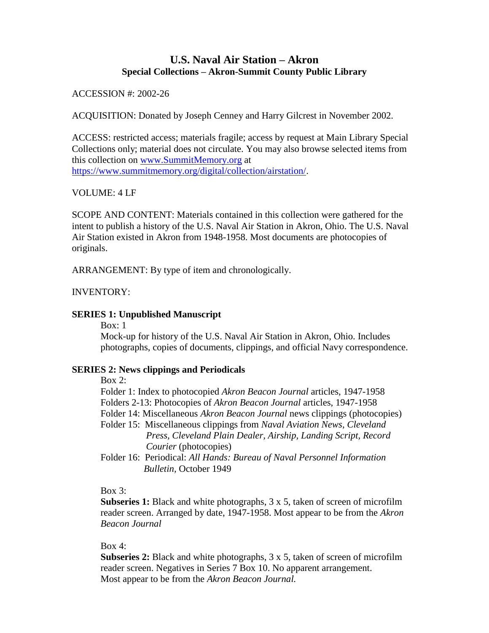# **U.S. Naval Air Station – Akron Special Collections – Akron-Summit County Public Library**

# ACCESSION #: 2002-26

ACQUISITION: Donated by Joseph Cenney and Harry Gilcrest in November 2002.

ACCESS: restricted access; materials fragile; access by request at Main Library Special Collections only; material does not circulate. You may also browse selected items from this collection on [www.SummitMemory.org](http://www.summitmemory.org/) at [https://www.summitmemory.org/digital/collection/airstation/.](https://www.summitmemory.org/digital/collection/airstation/)

## VOLUME: 4 LF

SCOPE AND CONTENT: Materials contained in this collection were gathered for the intent to publish a history of the U.S. Naval Air Station in Akron, Ohio. The U.S. Naval Air Station existed in Akron from 1948-1958. Most documents are photocopies of originals.

ARRANGEMENT: By type of item and chronologically.

## INVENTORY:

## **SERIES 1: Unpublished Manuscript**

Box: 1

Mock-up for history of the U.S. Naval Air Station in Akron, Ohio. Includes photographs, copies of documents, clippings, and official Navy correspondence.

#### **SERIES 2: News clippings and Periodicals**

Box  $2$ :

Folder 1: Index to photocopied *Akron Beacon Journal* articles, 1947-1958 Folders 2-13: Photocopies of *Akron Beacon Journal* articles, 1947-1958

- 
- Folder 14: Miscellaneous *Akron Beacon Journal* news clippings (photocopies)
- Folder 15: Miscellaneous clippings from *Naval Aviation News, Cleveland Press, Cleveland Plain Dealer, Airship, Landing Script, Record Courier* (photocopies)
- Folder 16: Periodical: *All Hands: Bureau of Naval Personnel Information Bulletin,* October 1949

#### Box  $3$ :

**Subseries 1:** Black and white photographs, 3 x 5, taken of screen of microfilm reader screen. Arranged by date, 1947-1958. Most appear to be from the *Akron Beacon Journal*

## Box 4:

**Subseries 2:** Black and white photographs, 3 x 5, taken of screen of microfilm reader screen. Negatives in Series 7 Box 10. No apparent arrangement. Most appear to be from the *Akron Beacon Journal.*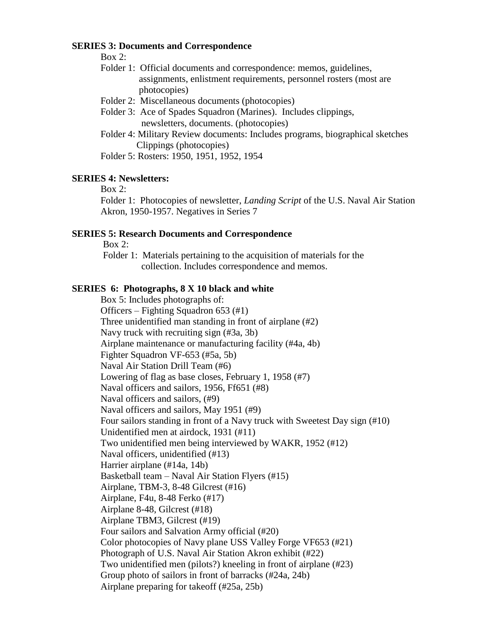#### **SERIES 3: Documents and Correspondence**

Box 2:

- Folder 1: Official documents and correspondence: memos, guidelines, assignments, enlistment requirements, personnel rosters (most are photocopies)
- Folder 2: Miscellaneous documents (photocopies)
- Folder 3: Ace of Spades Squadron (Marines). Includes clippings, newsletters, documents. (photocopies)
- Folder 4: Military Review documents: Includes programs, biographical sketches Clippings (photocopies)

Folder 5: Rosters: 1950, 1951, 1952, 1954

## **SERIES 4: Newsletters:**

Box 2:

Folder 1: Photocopies of newsletter, *Landing Script* of the U.S. Naval Air Station Akron, 1950-1957. Negatives in Series 7

#### **SERIES 5: Research Documents and Correspondence**

Box 2:

Folder 1: Materials pertaining to the acquisition of materials for the collection. Includes correspondence and memos.

## **SERIES 6: Photographs, 8 X 10 black and white**

Box 5: Includes photographs of: Officers – Fighting Squadron 653 (#1) Three unidentified man standing in front of airplane (#2) Navy truck with recruiting sign (#3a, 3b) Airplane maintenance or manufacturing facility (#4a, 4b) Fighter Squadron VF-653 (#5a, 5b) Naval Air Station Drill Team (#6) Lowering of flag as base closes, February 1, 1958 (#7) Naval officers and sailors, 1956, Ff651 (#8) Naval officers and sailors, (#9) Naval officers and sailors, May 1951 (#9) Four sailors standing in front of a Navy truck with Sweetest Day sign (#10) Unidentified men at airdock, 1931 (#11) Two unidentified men being interviewed by WAKR, 1952 (#12) Naval officers, unidentified (#13) Harrier airplane (#14a, 14b) Basketball team – Naval Air Station Flyers (#15) Airplane, TBM-3, 8-48 Gilcrest (#16) Airplane, F4u, 8-48 Ferko (#17) Airplane 8-48, Gilcrest (#18) Airplane TBM3, Gilcrest (#19) Four sailors and Salvation Army official (#20) Color photocopies of Navy plane USS Valley Forge VF653 (#21) Photograph of U.S. Naval Air Station Akron exhibit (#22) Two unidentified men (pilots?) kneeling in front of airplane (#23) Group photo of sailors in front of barracks (#24a, 24b) Airplane preparing for takeoff (#25a, 25b)